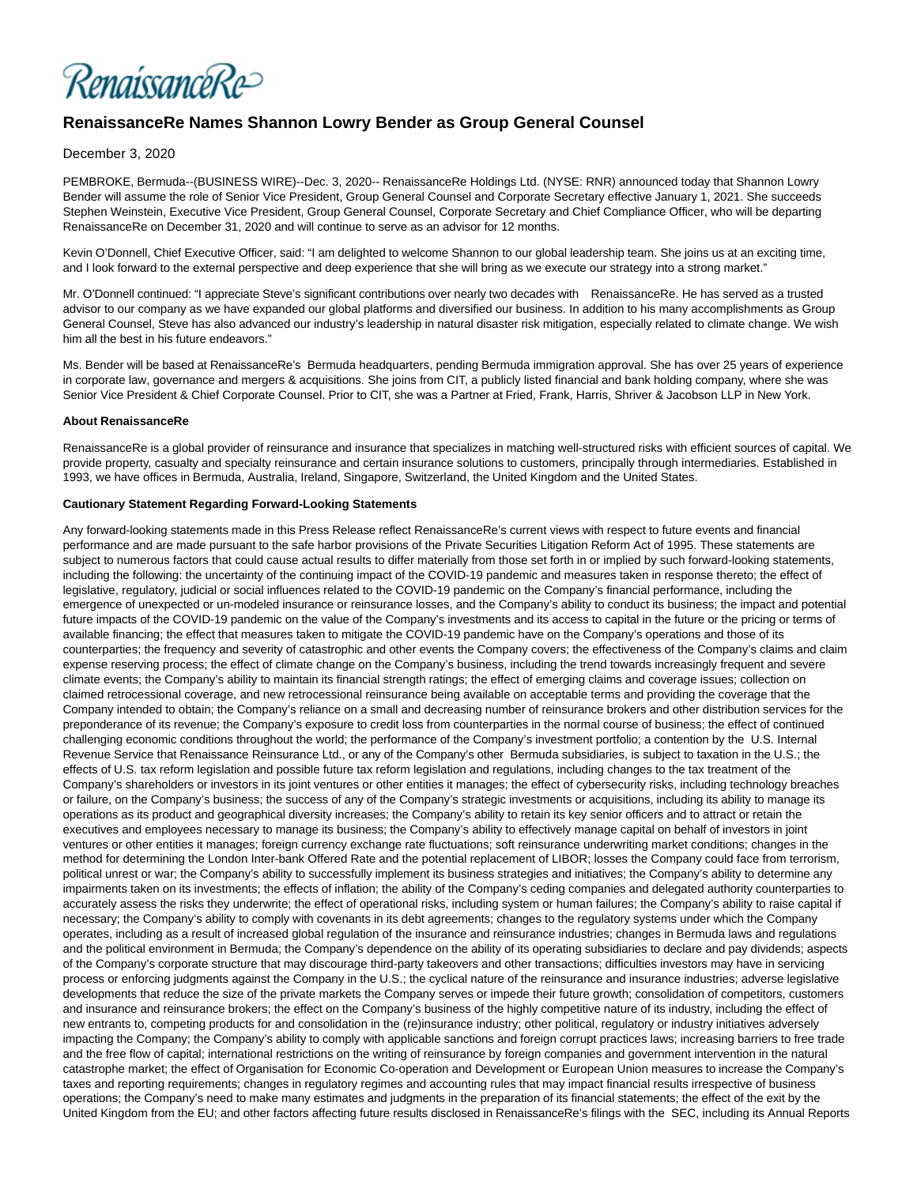RenaissanceRe>

## **RenaissanceRe Names Shannon Lowry Bender as Group General Counsel**

## December 3, 2020

PEMBROKE, Bermuda--(BUSINESS WIRE)--Dec. 3, 2020-- RenaissanceRe Holdings Ltd. (NYSE: RNR) announced today that Shannon Lowry Bender will assume the role of Senior Vice President, Group General Counsel and Corporate Secretary effective January 1, 2021. She succeeds Stephen Weinstein, Executive Vice President, Group General Counsel, Corporate Secretary and Chief Compliance Officer, who will be departing RenaissanceRe on December 31, 2020 and will continue to serve as an advisor for 12 months.

Kevin O'Donnell, Chief Executive Officer, said: "I am delighted to welcome Shannon to our global leadership team. She joins us at an exciting time, and I look forward to the external perspective and deep experience that she will bring as we execute our strategy into a strong market."

Mr. O'Donnell continued: "I appreciate Steve's significant contributions over nearly two decades with RenaissanceRe. He has served as a trusted advisor to our company as we have expanded our global platforms and diversified our business. In addition to his many accomplishments as Group General Counsel, Steve has also advanced our industry's leadership in natural disaster risk mitigation, especially related to climate change. We wish him all the best in his future endeavors."

Ms. Bender will be based at RenaissanceRe's Bermuda headquarters, pending Bermuda immigration approval. She has over 25 years of experience in corporate law, governance and mergers & acquisitions. She joins from CIT, a publicly listed financial and bank holding company, where she was Senior Vice President & Chief Corporate Counsel. Prior to CIT, she was a Partner at Fried, Frank, Harris, Shriver & Jacobson LLP in New York.

## **About RenaissanceRe**

RenaissanceRe is a global provider of reinsurance and insurance that specializes in matching well-structured risks with efficient sources of capital. We provide property, casualty and specialty reinsurance and certain insurance solutions to customers, principally through intermediaries. Established in 1993, we have offices in Bermuda, Australia, Ireland, Singapore, Switzerland, the United Kingdom and the United States.

## **Cautionary Statement Regarding Forward-Looking Statements**

Any forward-looking statements made in this Press Release reflect RenaissanceRe's current views with respect to future events and financial performance and are made pursuant to the safe harbor provisions of the Private Securities Litigation Reform Act of 1995. These statements are subject to numerous factors that could cause actual results to differ materially from those set forth in or implied by such forward-looking statements, including the following: the uncertainty of the continuing impact of the COVID-19 pandemic and measures taken in response thereto; the effect of legislative, regulatory, judicial or social influences related to the COVID-19 pandemic on the Company's financial performance, including the emergence of unexpected or un-modeled insurance or reinsurance losses, and the Company's ability to conduct its business; the impact and potential future impacts of the COVID-19 pandemic on the value of the Company's investments and its access to capital in the future or the pricing or terms of available financing; the effect that measures taken to mitigate the COVID-19 pandemic have on the Company's operations and those of its counterparties; the frequency and severity of catastrophic and other events the Company covers; the effectiveness of the Company's claims and claim expense reserving process; the effect of climate change on the Company's business, including the trend towards increasingly frequent and severe climate events; the Company's ability to maintain its financial strength ratings; the effect of emerging claims and coverage issues; collection on claimed retrocessional coverage, and new retrocessional reinsurance being available on acceptable terms and providing the coverage that the Company intended to obtain; the Company's reliance on a small and decreasing number of reinsurance brokers and other distribution services for the preponderance of its revenue; the Company's exposure to credit loss from counterparties in the normal course of business; the effect of continued challenging economic conditions throughout the world; the performance of the Company's investment portfolio; a contention by the U.S. Internal Revenue Service that Renaissance Reinsurance Ltd., or any of the Company's other Bermuda subsidiaries, is subject to taxation in the U.S.; the effects of U.S. tax reform legislation and possible future tax reform legislation and regulations, including changes to the tax treatment of the Company's shareholders or investors in its joint ventures or other entities it manages; the effect of cybersecurity risks, including technology breaches or failure, on the Company's business; the success of any of the Company's strategic investments or acquisitions, including its ability to manage its operations as its product and geographical diversity increases; the Company's ability to retain its key senior officers and to attract or retain the executives and employees necessary to manage its business; the Company's ability to effectively manage capital on behalf of investors in joint ventures or other entities it manages; foreign currency exchange rate fluctuations; soft reinsurance underwriting market conditions; changes in the method for determining the London Inter-bank Offered Rate and the potential replacement of LIBOR; losses the Company could face from terrorism, political unrest or war; the Company's ability to successfully implement its business strategies and initiatives; the Company's ability to determine any impairments taken on its investments; the effects of inflation; the ability of the Company's ceding companies and delegated authority counterparties to accurately assess the risks they underwrite; the effect of operational risks, including system or human failures; the Company's ability to raise capital if necessary; the Company's ability to comply with covenants in its debt agreements; changes to the regulatory systems under which the Company operates, including as a result of increased global regulation of the insurance and reinsurance industries; changes in Bermuda laws and regulations and the political environment in Bermuda; the Company's dependence on the ability of its operating subsidiaries to declare and pay dividends; aspects of the Company's corporate structure that may discourage third-party takeovers and other transactions; difficulties investors may have in servicing process or enforcing judgments against the Company in the U.S.; the cyclical nature of the reinsurance and insurance industries; adverse legislative developments that reduce the size of the private markets the Company serves or impede their future growth; consolidation of competitors, customers and insurance and reinsurance brokers; the effect on the Company's business of the highly competitive nature of its industry, including the effect of new entrants to, competing products for and consolidation in the (re)insurance industry; other political, regulatory or industry initiatives adversely impacting the Company; the Company's ability to comply with applicable sanctions and foreign corrupt practices laws; increasing barriers to free trade and the free flow of capital; international restrictions on the writing of reinsurance by foreign companies and government intervention in the natural catastrophe market; the effect of Organisation for Economic Co-operation and Development or European Union measures to increase the Company's taxes and reporting requirements; changes in regulatory regimes and accounting rules that may impact financial results irrespective of business operations; the Company's need to make many estimates and judgments in the preparation of its financial statements; the effect of the exit by the United Kingdom from the EU; and other factors affecting future results disclosed in RenaissanceRe's filings with the SEC, including its Annual Reports